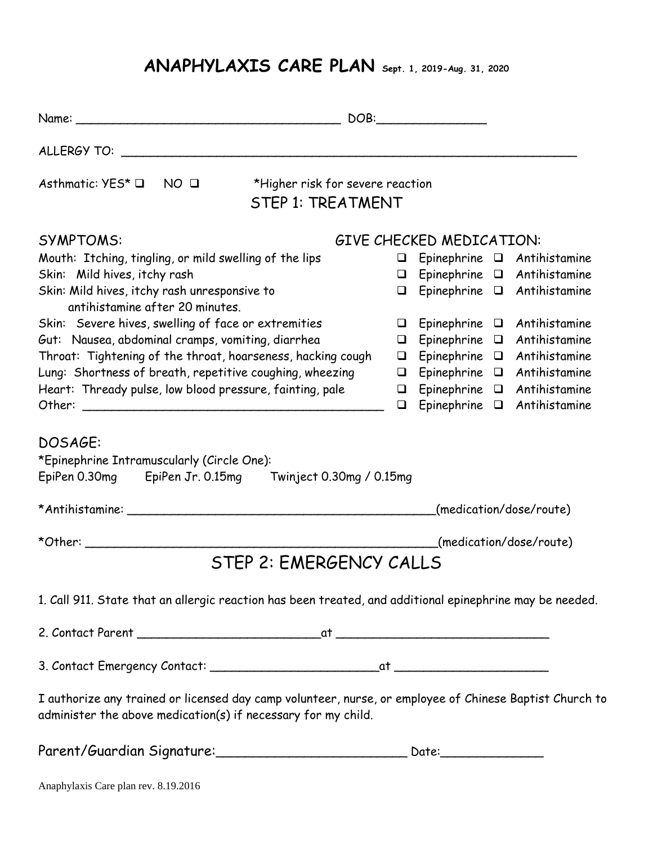## **ANAPHYLAXIS CARE PLAN Sept. 1, 2019-Aug. 31, <sup>2020</sup>**

|                                                                                                                                                                          | $\begin{picture}(180,10) \put(0,0){\dashbox{0.5}(10,0){ }} \put(15,0){\circle{10}} \put(15,0){\circle{10}} \put(15,0){\circle{10}} \put(15,0){\circle{10}} \put(15,0){\circle{10}} \put(15,0){\circle{10}} \put(15,0){\circle{10}} \put(15,0){\circle{10}} \put(15,0){\circle{10}} \put(15,0){\circle{10}} \put(15,0){\circle{10}} \put(15,0){\circle{10}} \put(15,0){\circle{10}} \put(15$ |
|--------------------------------------------------------------------------------------------------------------------------------------------------------------------------|---------------------------------------------------------------------------------------------------------------------------------------------------------------------------------------------------------------------------------------------------------------------------------------------------------------------------------------------------------------------------------------------|
|                                                                                                                                                                          |                                                                                                                                                                                                                                                                                                                                                                                             |
| Asthmatic: $YES^*$ $\square$<br>NO O                                                                                                                                     | *Higher risk for severe reaction                                                                                                                                                                                                                                                                                                                                                            |
| STEP 1: TREATMENT                                                                                                                                                        |                                                                                                                                                                                                                                                                                                                                                                                             |
| <b>SYMPTOMS:</b>                                                                                                                                                         | <b>GIVE CHECKED MEDICATION:</b>                                                                                                                                                                                                                                                                                                                                                             |
| Mouth: Itching, tingling, or mild swelling of the lips                                                                                                                   | $\Box$ Epinephrine $\Box$ Antihistamine                                                                                                                                                                                                                                                                                                                                                     |
| Skin: Mild hives, itchy rash                                                                                                                                             | $\Box$ Epinephrine $\Box$ Antihistamine                                                                                                                                                                                                                                                                                                                                                     |
| Skin: Mild hives, itchy rash unresponsive to                                                                                                                             | $\Box$ Epinephrine $\Box$ Antihistamine                                                                                                                                                                                                                                                                                                                                                     |
| antihistamine after 20 minutes.                                                                                                                                          |                                                                                                                                                                                                                                                                                                                                                                                             |
| Skin: Severe hives, swelling of face or extremities                                                                                                                      | $\Box$ Epinephrine $\Box$<br>Antihistamine                                                                                                                                                                                                                                                                                                                                                  |
| Gut: Nausea, abdominal cramps, vomiting, diarrhea                                                                                                                        | $\Box$ Epinephrine $\Box$ Antihistamine                                                                                                                                                                                                                                                                                                                                                     |
| Throat: Tightening of the throat, hoarseness, hacking cough                                                                                                              | $\Box$ Epinephrine $\Box$ Antihistamine                                                                                                                                                                                                                                                                                                                                                     |
| Lung: Shortness of breath, repetitive coughing, wheezing                                                                                                                 | Epinephrine Q Antihistamine<br>$\Box$                                                                                                                                                                                                                                                                                                                                                       |
| Heart: Thready pulse, low blood pressure, fainting, pale                                                                                                                 | Epinephrine Q Antihistamine<br>$\Box$                                                                                                                                                                                                                                                                                                                                                       |
|                                                                                                                                                                          | Epinephrine $\Box$ Antihistamine<br>$\Box$                                                                                                                                                                                                                                                                                                                                                  |
| DOSAGE:<br>*Epinephrine Intramuscularly (Circle One):<br>EpiPen 0.30mg EpiPen Jr. 0.15mg Twinject 0.30mg / 0.15mg                                                        |                                                                                                                                                                                                                                                                                                                                                                                             |
|                                                                                                                                                                          | (medication/dose/route)                                                                                                                                                                                                                                                                                                                                                                     |
| *Other: __________________                                                                                                                                               | (medication/dose/route)                                                                                                                                                                                                                                                                                                                                                                     |
| <b>STEP 2: EMERGENCY CALLS</b>                                                                                                                                           |                                                                                                                                                                                                                                                                                                                                                                                             |
| 1. Call 911. State that an allergic reaction has been treated, and additional epinephrine may be needed.                                                                 |                                                                                                                                                                                                                                                                                                                                                                                             |
|                                                                                                                                                                          |                                                                                                                                                                                                                                                                                                                                                                                             |
|                                                                                                                                                                          |                                                                                                                                                                                                                                                                                                                                                                                             |
|                                                                                                                                                                          |                                                                                                                                                                                                                                                                                                                                                                                             |
| I authorize any trained or licensed day camp volunteer, nurse, or employee of Chinese Baptist Church to<br>administer the above medication(s) if necessary for my child. |                                                                                                                                                                                                                                                                                                                                                                                             |